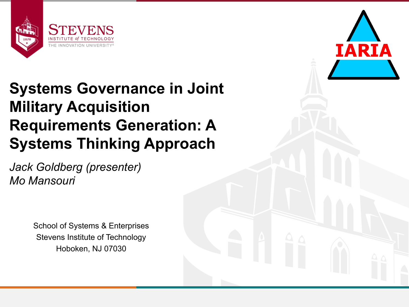

#### **Systems Governance in Joint Military Acquisition Requirements Generation: A Systems Thinking Approach**

*Jack Goldberg (presenter) Mo Mansouri*

> School of Systems & Enterprises Stevens Institute of Technology Hoboken, NJ 07030

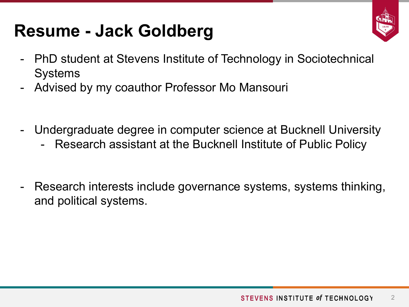### **Resume - Jack Goldberg**



- PhD student at Stevens Institute of Technology in Sociotechnical **Systems**
- Advised by my coauthor Professor Mo Mansouri
- Undergraduate degree in computer science at Bucknell University
	- Research assistant at the Bucknell Institute of Public Policy
- Research interests include governance systems, systems thinking, and political systems.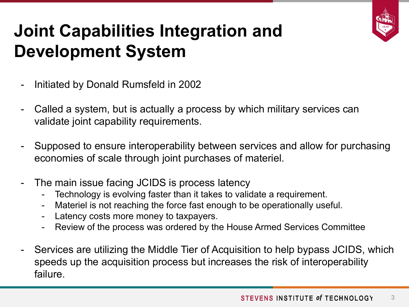

## **Joint Capabilities Integration and Development System**

- Initiated by Donald Rumsfeld in 2002
- Called a system, but is actually a process by which military services can validate joint capability requirements.
- Supposed to ensure interoperability between services and allow for purchasing economies of scale through joint purchases of materiel.
- The main issue facing JCIDS is process latency
	- Technology is evolving faster than it takes to validate a requirement.
	- Materiel is not reaching the force fast enough to be operationally useful.
	- Latency costs more money to taxpayers.
	- Review of the process was ordered by the House Armed Services Committee
- Services are utilizing the Middle Tier of Acquisition to help bypass JCIDS, which speeds up the acquisition process but increases the risk of interoperability failure.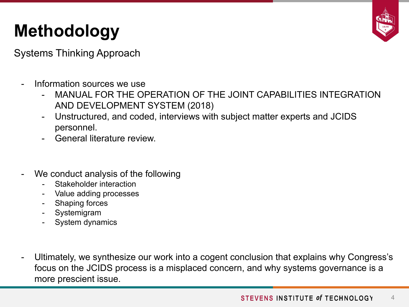# **Methodology**

Systems Thinking Approach

- Information sources we use
	- MANUAL FOR THE OPERATION OF THE JOINT CAPABILITIES INTEGRATION AND DEVELOPMENT SYSTEM (2018)
	- Unstructured, and coded, interviews with subject matter experts and JCIDS personnel.
	- General literature review.
- We conduct analysis of the following
	- Stakeholder interaction
	- Value adding processes
	- Shaping forces
	- **Systemigram**
	- System dynamics
- Ultimately, we synthesize our work into a cogent conclusion that explains why Congress's focus on the JCIDS process is a misplaced concern, and why systems governance is a more prescient issue.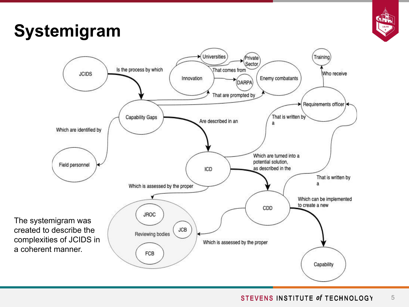

### **Systemigram**

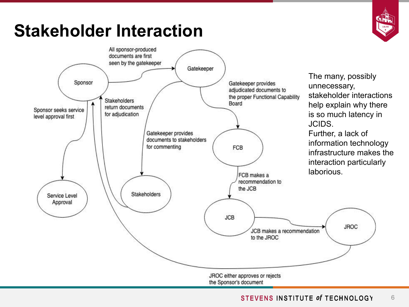### **Stakeholder Interaction**





#### STEVENS INSTITUTE of TECHNOLOGY 6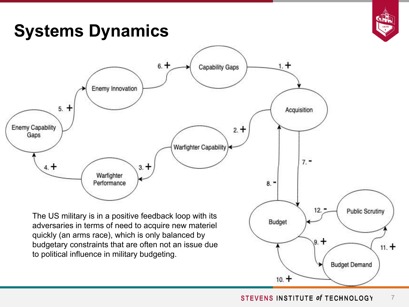

#### **Systems Dynamics**



 $10. +$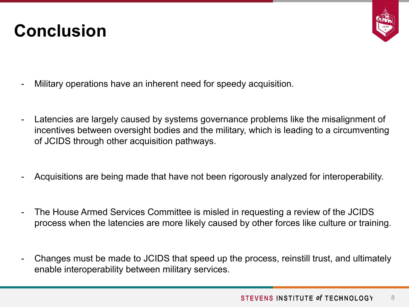#### **Conclusion**



- Military operations have an inherent need for speedy acquisition.
- Latencies are largely caused by systems governance problems like the misalignment of incentives between oversight bodies and the military, which is leading to a circumventing of JCIDS through other acquisition pathways.
- Acquisitions are being made that have not been rigorously analyzed for interoperability.
- The House Armed Services Committee is misled in requesting a review of the JCIDS process when the latencies are more likely caused by other forces like culture or training.
- Changes must be made to JCIDS that speed up the process, reinstill trust, and ultimately enable interoperability between military services.